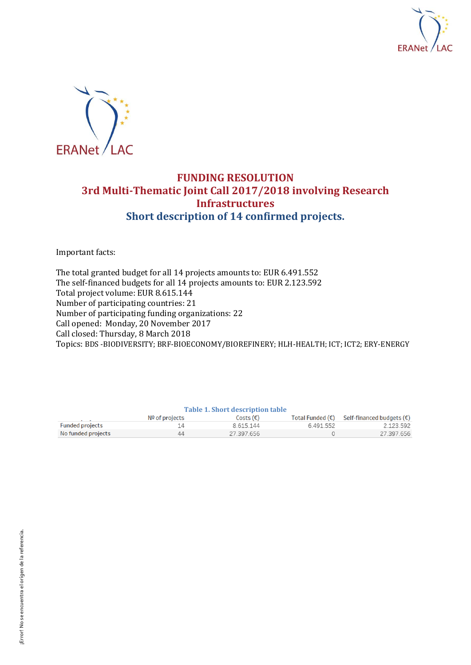



## **FUNDING RESOLUTION 3rd Multi-Thematic Joint Call 2017/2018 involving Research Infrastructures Short description of 14 confirmed projects.**

Important facts:

The total granted budget for all 14 projects amounts to: EUR 6.491.552 The self-financed budgets for all 14 projects amounts to: EUR 2.123.592 Total project volume: EUR 8.615.144 Number of participating countries: 21 Number of participating funding organizations: 22 Call opened: Monday, 20 November 2017 Call closed: Thursday, 8 March 2018 Topics: BDS -BIODIVERSITY; BRF-BIOECONOMY/BIOREFINERY; HLH-HEALTH; ICT; ICT2; ERY-ENERGY

| Table 1. Short description table |                  |                    |                           |                           |
|----------------------------------|------------------|--------------------|---------------------------|---------------------------|
|                                  | $No$ of projects | Costs $(\epsilon)$ | Total Funded $(\epsilon)$ | Self-financed budgets (€) |
| <b>Funded projects</b>           | 14               | 8 615 144          | 6.491.552                 | 2.123.592                 |
| No funded projects               | 44               | 27.397.656         |                           | 27.397.656                |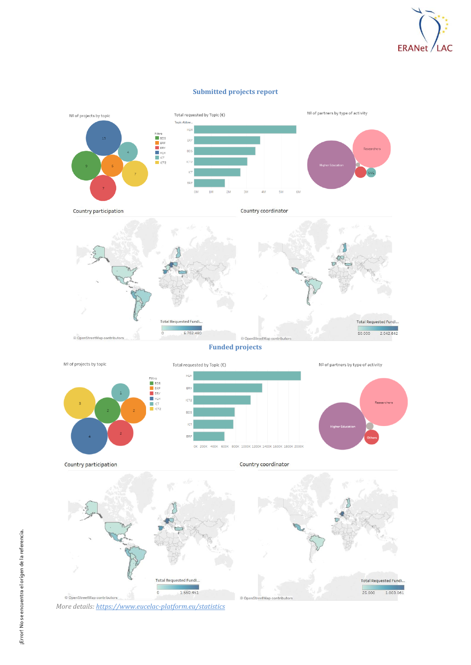

#### **Submitted projects report**





**Funded projects**

Nº of projects by topic Total requested by Topic  $(\epsilon)$ Nº of partners by type of activity **HLH** Filtr BDS<br>BRF<br>ERY ERY E HLH<br>
I ICT<br>
ICT2 **ICT2** Researchers BD<sup>3</sup>  $\overline{10}$ BRI 400K 600K 800K 1000K 1200K 1400K 1600K 1800K 2000K OK 200K

Country participation





*More details[: https://www.eucelac-platform.eu/statistics](https://www.eucelac-platform.eu/statistics)*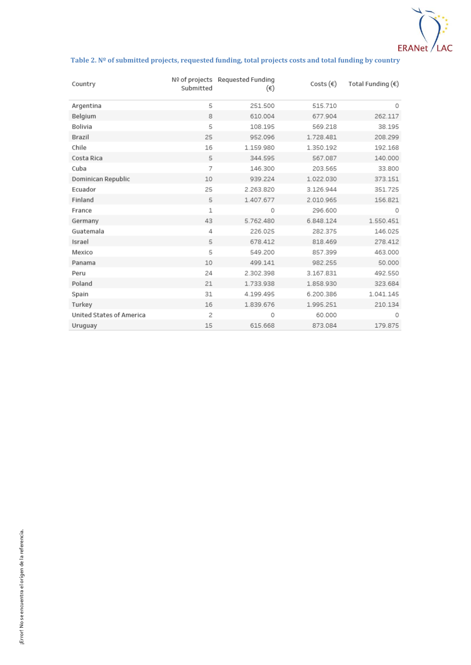

#### **Table 2. Nº of submitted projects, requested funding, total projects costs and total funding by country**

| Country                         | Submitted      | Nº of projects Requested Funding<br>$(\epsilon)$ | Costs $(\epsilon)$ | Total Funding $(\epsilon)$ |
|---------------------------------|----------------|--------------------------------------------------|--------------------|----------------------------|
| Argentina                       | 5              | 251.500                                          | 515.710            | 0                          |
| Belgium                         | 8              | 610.004                                          | 677.904            | 262.117                    |
| Bolivia                         | 5              | 108.195                                          | 569.218            | 38.195                     |
| Brazil                          | 25             | 952.096                                          | 1.728.481          | 208.299                    |
| Chile                           | 16             | 1.159.980                                        | 1.350.192          | 192.168                    |
| Costa Rica                      | 5              | 344.595                                          | 567.087            | 140.000                    |
| Cuba                            | 7              | 146.300                                          | 203.565            | 33.800                     |
| Dominican Republic              | 10             | 939.224                                          | 1.022.030          | 373.151                    |
| Ecuador                         | 25             | 2.263.820                                        | 3.126.944          | 351.725                    |
| Finland                         | 5              | 1.407.677                                        | 2.010.965          | 156.821                    |
| France                          | $\mathbf{1}$   | 0                                                | 296.600            | 0                          |
| Germany                         | 43             | 5.762.480                                        | 6.848.124          | 1.550.451                  |
| Guatemala                       | 4              | 226.025                                          | 282.375            | 146.025                    |
| Israel                          | 5              | 678.412                                          | 818.469            | 278.412                    |
| Mexico                          | 5              | 549.200                                          | 857.399            | 463.000                    |
| Panama                          | 10             | 499.141                                          | 982.255            | 50.000                     |
| Peru                            | 24             | 2.302.398                                        | 3.167.831          | 492.550                    |
| Poland                          | 21             | 1.733.938                                        | 1.858.930          | 323.684                    |
| Spain                           | 31             | 4.199.495                                        | 6.200.386          | 1.041.145                  |
| Turkey                          | 16             | 1.839.676                                        | 1.995.251          | 210.134                    |
| <b>United States of America</b> | $\overline{2}$ | 0                                                | 60.000             | 0                          |
| Uruguay                         | 15             | 615.668                                          | 873.084            | 179.875                    |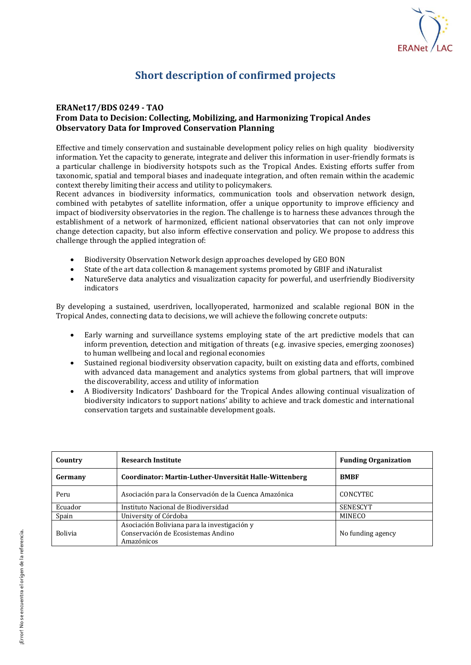

# **Short description of confirmed projects**

## **ERANet17/BDS 0249 - TAO**

## **From Data to Decision: Collecting, Mobilizing, and Harmonizing Tropical Andes Observatory Data for Improved Conservation Planning**

Effective and timely conservation and sustainable development policy relies on high quality biodiversity information. Yet the capacity to generate, integrate and deliver this information in user-friendly formats is a particular challenge in biodiversity hotspots such as the Tropical Andes. Existing efforts suffer from taxonomic, spatial and temporal biases and inadequate integration, and often remain within the academic context thereby limiting their access and utility to policymakers.

Recent advances in biodiversity informatics, communication tools and observation network design, combined with petabytes of satellite information, offer a unique opportunity to improve efficiency and impact of biodiversity observatories in the region. The challenge is to harness these advances through the establishment of a network of harmonized, efficient national observatories that can not only improve change detection capacity, but also inform effective conservation and policy. We propose to address this challenge through the applied integration of:

- Biodiversity Observation Network design approaches developed by GEO BON
- State of the art data collection & management systems promoted by GBIF and iNaturalist
- NatureServe data analytics and visualization capacity for powerful, and userfriendly Biodiversity indicators

By developing a sustained, userdriven, locallyoperated, harmonized and scalable regional BON in the Tropical Andes, connecting data to decisions, we will achieve the following concrete outputs:

- Early warning and surveillance systems employing state of the art predictive models that can inform prevention, detection and mitigation of threats (e.g. invasive species, emerging zoonoses) to human wellbeing and local and regional economies
- Sustained regional biodiversity observation capacity, built on existing data and efforts, combined with advanced data management and analytics systems from global partners, that will improve the discoverability, access and utility of information
- A Biodiversity Indicators' Dashboard for the Tropical Andes allowing continual visualization of biodiversity indicators to support nations' ability to achieve and track domestic and international conservation targets and sustainable development goals.

| Country        | <b>Research Institute</b>                                                                        | <b>Funding Organization</b> |
|----------------|--------------------------------------------------------------------------------------------------|-----------------------------|
| Germany        | Coordinator: Martin-Luther-Unversität Halle-Wittenberg                                           | <b>BMBF</b>                 |
| Peru           | Asociación para la Conservación de la Cuenca Amazónica                                           | CONCYTEC                    |
| Ecuador        | Instituto Nacional de Biodiversidad                                                              | SENESCYT                    |
| Spain          | University of Córdoba                                                                            | <b>MINECO</b>               |
| <b>Bolivia</b> | Asociación Boliviana para la investigación y<br>Conservación de Ecosistemas Andino<br>Amazónicos | No funding agency           |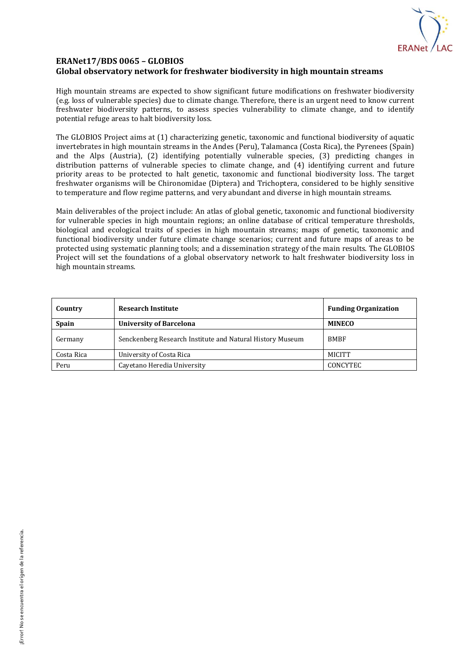

## **ERANet17/BDS 0065 – GLOBIOS Global observatory network for freshwater biodiversity in high mountain streams**

High mountain streams are expected to show significant future modifications on freshwater biodiversity (e.g. loss of vulnerable species) due to climate change. Therefore, there is an urgent need to know current freshwater biodiversity patterns, to assess species vulnerability to climate change, and to identify potential refuge areas to halt biodiversity loss.

The GLOBIOS Project aims at (1) characterizing genetic, taxonomic and functional biodiversity of aquatic invertebrates in high mountain streams in the Andes (Peru), Talamanca (Costa Rica), the Pyrenees (Spain) and the Alps (Austria), (2) identifying potentially vulnerable species, (3) predicting changes in distribution patterns of vulnerable species to climate change, and (4) identifying current and future priority areas to be protected to halt genetic, taxonomic and functional biodiversity loss. The target freshwater organisms will be Chironomidae (Diptera) and Trichoptera, considered to be highly sensitive to temperature and flow regime patterns, and very abundant and diverse in high mountain streams.

Main deliverables of the project include: An atlas of global genetic, taxonomic and functional biodiversity for vulnerable species in high mountain regions; an online database of critical temperature thresholds, biological and ecological traits of species in high mountain streams; maps of genetic, taxonomic and functional biodiversity under future climate change scenarios; current and future maps of areas to be protected using systematic planning tools; and a dissemination strategy of the main results. The GLOBIOS Project will set the foundations of a global observatory network to halt freshwater biodiversity loss in high mountain streams.

| Country    | <b>Research Institute</b>                                 | <b>Funding Organization</b> |
|------------|-----------------------------------------------------------|-----------------------------|
| Spain      | <b>University of Barcelona</b>                            | <b>MINECO</b>               |
| Germany    | Senckenberg Research Institute and Natural History Museum | <b>BMBF</b>                 |
| Costa Rica | University of Costa Rica                                  | <b>MICITT</b>               |
| Peru       | Cayetano Heredia University                               | CONCYTEC                    |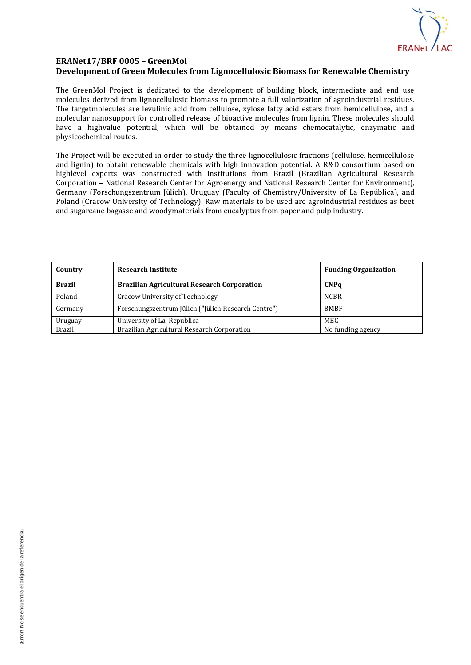

## **ERANet17/BRF 0005 – GreenMol Development of Green Molecules from Lignocellulosic Biomass for Renewable Chemistry**

The GreenMol Project is dedicated to the development of building block, intermediate and end use molecules derived from lignocellulosic biomass to promote a full valorization of agroindustrial residues. The targetmolecules are levulinic acid from cellulose, xylose fatty acid esters from hemicellulose, and a molecular nanosupport for controlled release of bioactive molecules from lignin. These molecules should have a highvalue potential, which will be obtained by means chemocatalytic, enzymatic and physicochemical routes.

The Project will be executed in order to study the three lignocellulosic fractions (cellulose, hemicellulose and lignin) to obtain renewable chemicals with high innovation potential. A R&D consortium based on highlevel experts was constructed with institutions from Brazil (Brazilian Agricultural Research Corporation – National Research Center for Agroenergy and National Research Center for Environment), Germany (Forschungszentrum Jülich), Uruguay (Faculty of Chemistry/University of La República), and Poland (Cracow University of Technology). Raw materials to be used are agroindustrial residues as beet and sugarcane bagasse and woodymaterials from eucalyptus from paper and pulp industry.

| Country       | <b>Research Institute</b>                           | <b>Funding Organization</b> |
|---------------|-----------------------------------------------------|-----------------------------|
| <b>Brazil</b> | <b>Brazilian Agricultural Research Corporation</b>  | <b>CNPq</b>                 |
| Poland        | Cracow University of Technology                     | <b>NCBR</b>                 |
| Germany       | Forschungszentrum Jülich ("Jülich Research Centre") | <b>BMBF</b>                 |
| Uruguay       | University of La Republica                          | MEC                         |
| <b>Brazil</b> | Brazilian Agricultural Research Corporation         | No funding agency           |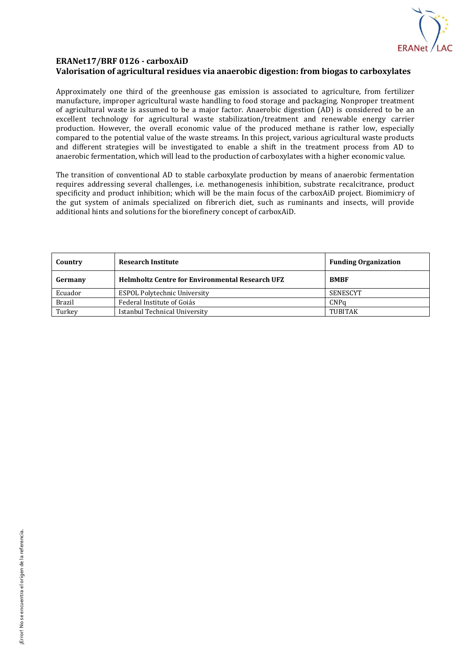

### **ERANet17/BRF 0126 - carboxAiD Valorisation of agricultural residues via anaerobic digestion: from biogas to carboxylates**

Approximately one third of the greenhouse gas emission is associated to agriculture, from fertilizer manufacture, improper agricultural waste handling to food storage and packaging. Nonproper treatment of agricultural waste is assumed to be a major factor. Anaerobic digestion (AD) is considered to be an excellent technology for agricultural waste stabilization/treatment and renewable energy carrier production. However, the overall economic value of the produced methane is rather low, especially compared to the potential value of the waste streams. In this project, various agricultural waste products and different strategies will be investigated to enable a shift in the treatment process from AD to anaerobic fermentation, which will lead to the production of carboxylates with a higher economic value.

The transition of conventional AD to stable carboxylate production by means of anaerobic fermentation requires addressing several challenges, i.e. methanogenesis inhibition, substrate recalcitrance, product specificity and product inhibition; which will be the main focus of the carboxAiD project. Biomimicry of the gut system of animals specialized on fibrerich diet, such as ruminants and insects, will provide additional hints and solutions for the biorefinery concept of carboxAiD.

| Country       | <b>Research Institute</b>                              | <b>Funding Organization</b> |
|---------------|--------------------------------------------------------|-----------------------------|
| Germany       | <b>Helmholtz Centre for Environmental Research UFZ</b> | <b>BMBF</b>                 |
| Ecuador       | <b>ESPOL Polytechnic University</b>                    | SENESCYT                    |
| <b>Brazil</b> | Federal Institute of Goiás                             | CNPa                        |
| Turkey        | Istanbul Technical University                          | <b>TUBITAK</b>              |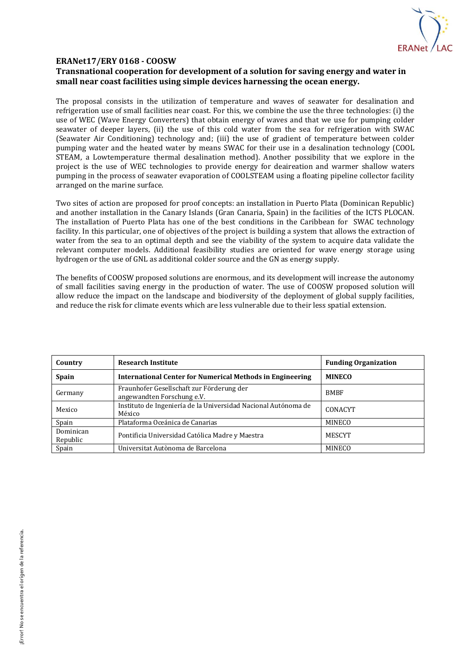

## **ERANet17/ERY 0168 - COOSW**

## **Transnational cooperation for development of a solution for saving energy and water in small near coast facilities using simple devices harnessing the ocean energy.**

The proposal consists in the utilization of temperature and waves of seawater for desalination and refrigeration use of small facilities near coast. For this, we combine the use the three technologies: (i) the use of WEC (Wave Energy Converters) that obtain energy of waves and that we use for pumping colder seawater of deeper layers, (ii) the use of this cold water from the sea for refrigeration with SWAC (Seawater Air Conditioning) technology and; (iii) the use of gradient of temperature between colder pumping water and the heated water by means SWAC for their use in a desalination technology (COOL STEAM, a Lowtemperature thermal desalination method). Another possibility that we explore in the project is the use of WEC technologies to provide energy for deaireation and warmer shallow waters pumping in the process of seawater evaporation of COOLSTEAM using a floating pipeline collector facility arranged on the marine surface.

Two sites of action are proposed for proof concepts: an installation in Puerto Plata (Dominican Republic) and another installation in the Canary Islands (Gran Canaria, Spain) in the facilities of the ICTS PLOCAN. The installation of Puerto Plata has one of the best conditions in the Caribbean for SWAC technology facility. In this particular, one of objectives of the project is building a system that allows the extraction of water from the sea to an optimal depth and see the viability of the system to acquire data validate the relevant computer models. Additional feasibility studies are oriented for wave energy storage using hydrogen or the use of GNL as additional colder source and the GN as energy supply.

The benefits of COOSW proposed solutions are enormous, and its development will increase the autonomy of small facilities saving energy in the production of water. The use of COOSW proposed solution will allow reduce the impact on the landscape and biodiversity of the deployment of global supply facilities, and reduce the risk for climate events which are less vulnerable due to their less spatial extension.

| Country               | <b>Research Institute</b>                                                | <b>Funding Organization</b> |
|-----------------------|--------------------------------------------------------------------------|-----------------------------|
| Spain                 | International Center for Numerical Methods in Engineering                | <b>MINECO</b>               |
| Germany               | Fraunhofer Gesellschaft zur Förderung der<br>angewandten Forschung e.V.  | <b>BMBF</b>                 |
| Mexico                | Instituto de Ingeniería de la Universidad Nacional Autónoma de<br>México | CONACYT                     |
| Spain                 | Plataforma Oceánica de Canarias                                          | <b>MINECO</b>               |
| Dominican<br>Republic | Pontificia Universidad Católica Madre y Maestra                          | <b>MESCYT</b>               |
| Spain                 | Universitat Autònoma de Barcelona                                        | <b>MINECO</b>               |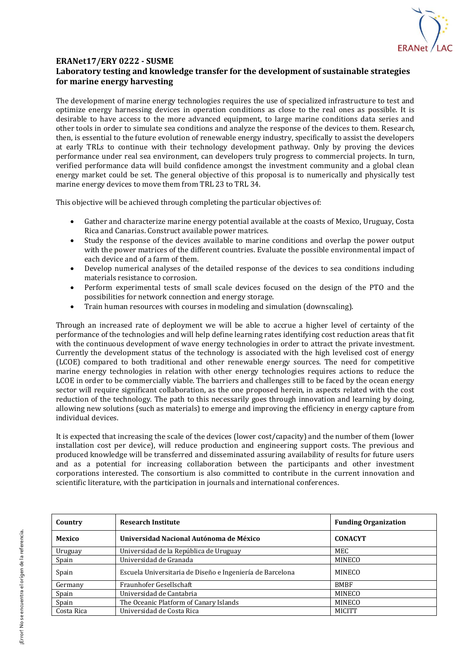

## **ERANet17/ERY 0222 - SUSME Laboratory testing and knowledge transfer for the development of sustainable strategies for marine energy harvesting**

The development of marine energy technologies requires the use of specialized infrastructure to test and optimize energy harnessing devices in operation conditions as close to the real ones as possible. It is desirable to have access to the more advanced equipment, to large marine conditions data series and other tools in order to simulate sea conditions and analyze the response of the devices to them. Research, then, is essential to the future evolution of renewable energy industry, specifically to assist the developers at early TRLs to continue with their technology development pathway. Only by proving the devices performance under real sea environment, can developers truly progress to commercial projects. In turn, verified performance data will build confidence amongst the investment community and a global clean energy market could be set. The general objective of this proposal is to numerically and physically test marine energy devices to move them from TRL 23 to TRL 34.

This objective will be achieved through completing the particular objectives of:

- Gather and characterize marine energy potential available at the coasts of Mexico, Uruguay, Costa Rica and Canarias. Construct available power matrices.
- Study the response of the devices available to marine conditions and overlap the power output with the power matrices of the different countries. Evaluate the possible environmental impact of each device and of a farm of them.
- Develop numerical analyses of the detailed response of the devices to sea conditions including materials resistance to corrosion.
- Perform experimental tests of small scale devices focused on the design of the PTO and the possibilities for network connection and energy storage.
- Train human resources with courses in modeling and simulation (downscaling).

Through an increased rate of deployment we will be able to accrue a higher level of certainty of the performance of the technologies and will help define learning rates identifying cost reduction areas that fit with the continuous development of wave energy technologies in order to attract the private investment. Currently the development status of the technology is associated with the high levelised cost of energy (LCOE) compared to both traditional and other renewable energy sources. The need for competitive marine energy technologies in relation with other energy technologies requires actions to reduce the LCOE in order to be commercially viable. The barriers and challenges still to be faced by the ocean energy sector will require significant collaboration, as the one proposed herein, in aspects related with the cost reduction of the technology. The path to this necessarily goes through innovation and learning by doing, allowing new solutions (such as materials) to emerge and improving the efficiency in energy capture from individual devices.

It is expected that increasing the scale of the devices (lower cost/capacity) and the number of them (lower installation cost per device), will reduce production and engineering support costs. The previous and produced knowledge will be transferred and disseminated assuring availability of results for future users and as a potential for increasing collaboration between the participants and other investment corporations interested. The consortium is also committed to contribute in the current innovation and scientific literature, with the participation in journals and international conferences.

| Country    | <b>Research Institute</b>                                 | <b>Funding Organization</b> |
|------------|-----------------------------------------------------------|-----------------------------|
| Mexico     | Universidad Nacional Autónoma de México                   | <b>CONACYT</b>              |
| Uruguay    | Universidad de la República de Uruguay                    | MEC.                        |
| Spain      | Universidad de Granada                                    | <b>MINECO</b>               |
| Spain      | Escuela Universitaria de Diseño e Ingeniería de Barcelona | MINECO                      |
| Germany    | Fraunhofer Gesellschaft                                   | <b>BMBF</b>                 |
| Spain      | Universidad de Cantabria                                  | MINECO                      |
| Spain      | The Oceanic Platform of Canary Islands                    | MINECO                      |
| Costa Rica | Universidad de Costa Rica                                 | <b>MICITT</b>               |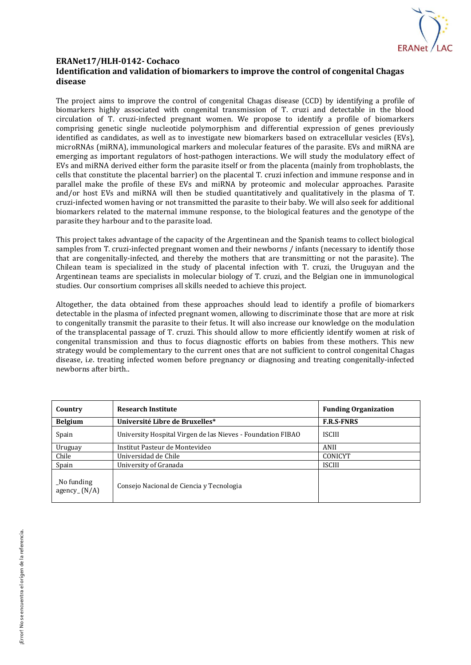

## **ERANet17/HLH-0142- Cochaco Identification and validation of biomarkers to improve the control of congenital Chagas disease**

The project aims to improve the control of congenital Chagas disease (CCD) by identifying a profile of biomarkers highly associated with congenital transmission of T. cruzi and detectable in the blood circulation of T. cruzi-infected pregnant women. We propose to identify a profile of biomarkers comprising genetic single nucleotide polymorphism and differential expression of genes previously identified as candidates, as well as to investigate new biomarkers based on extracellular vesicles (EVs), microRNAs (miRNA), immunological markers and molecular features of the parasite. EVs and miRNA are emerging as important regulators of host-pathogen interactions. We will study the modulatory effect of EVs and miRNA derived either form the parasite itself or from the placenta (mainly from trophoblasts, the cells that constitute the placental barrier) on the placental T. cruzi infection and immune response and in parallel make the profile of these EVs and miRNA by proteomic and molecular approaches. Parasite and/or host EVs and miRNA will then be studied quantitatively and qualitatively in the plasma of T. cruzi-infected women having or not transmitted the parasite to their baby. We will also seek for additional biomarkers related to the maternal immune response, to the biological features and the genotype of the parasite they harbour and to the parasite load.

This project takes advantage of the capacity of the Argentinean and the Spanish teams to collect biological samples from T. cruzi-infected pregnant women and their newborns / infants (necessary to identify those that are congenitally-infected, and thereby the mothers that are transmitting or not the parasite). The Chilean team is specialized in the study of placental infection with T. cruzi, the Uruguyan and the Argentinean teams are specialists in molecular biology of T. cruzi, and the Belgian one in immunological studies. Our consortium comprises all skills needed to achieve this project.

Altogether, the data obtained from these approaches should lead to identify a profile of biomarkers detectable in the plasma of infected pregnant women, allowing to discriminate those that are more at risk to congenitally transmit the parasite to their fetus. It will also increase our knowledge on the modulation of the transplacental passage of T. cruzi. This should allow to more efficiently identify women at risk of congenital transmission and thus to focus diagnostic efforts on babies from these mothers. This new strategy would be complementary to the current ones that are not sufficient to control congenital Chagas disease, i.e. treating infected women before pregnancy or diagnosing and treating congenitally-infected newborns after birth..

| Country                      | <b>Research Institute</b>                                   | <b>Funding Organization</b> |
|------------------------------|-------------------------------------------------------------|-----------------------------|
| <b>Belgium</b>               | Université Libre de Bruxelles*                              | <b>F.R.S-FNRS</b>           |
| Spain                        | University Hospital Virgen de las Nieves - Foundation FIBAO | <b>ISCIII</b>               |
| Uruguay                      | Institut Pasteur de Montevideo                              | ANII                        |
| Chile                        | Universidad de Chile                                        | <b>CONICYT</b>              |
| Spain                        | University of Granada                                       | <b>ISCIII</b>               |
| No funding<br>agency $(N/A)$ | Consejo Nacional de Ciencia y Tecnologia                    |                             |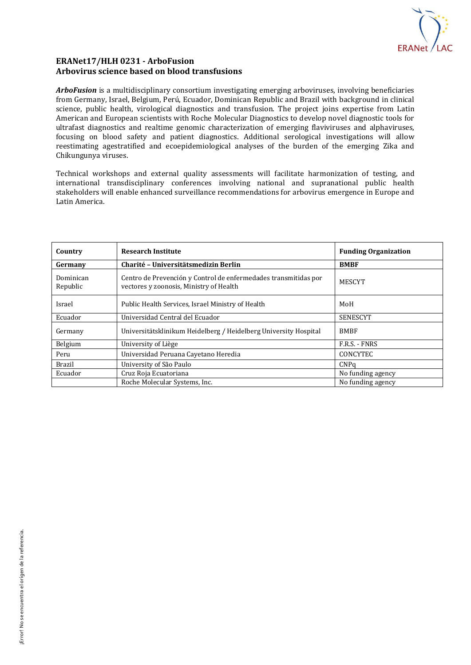

## **ERANet17/HLH 0231 - ArboFusion Arbovirus science based on blood transfusions**

*ArboFusion* is a multidisciplinary consortium investigating emerging arboviruses, involving beneficiaries from Germany, Israel, Belgium, Perú, Ecuador, Dominican Republic and Brazil with background in clinical science, public health, virological diagnostics and transfusion. The project joins expertise from Latin American and European scientists with Roche Molecular Diagnostics to develop novel diagnostic tools for ultrafast diagnostics and realtime genomic characterization of emerging flaviviruses and alphaviruses, focusing on blood safety and patient diagnostics. Additional serological investigations will allow reestimating agestratified and ecoepidemiological analyses of the burden of the emerging Zika and Chikungunya viruses.

Technical workshops and external quality assessments will facilitate harmonization of testing, and international transdisciplinary conferences involving national and supranational public health stakeholders will enable enhanced surveillance recommendations for arbovirus emergence in Europe and Latin America.

| Country               | <b>Research Institute</b>                                                                                  | <b>Funding Organization</b> |
|-----------------------|------------------------------------------------------------------------------------------------------------|-----------------------------|
| Germany               | Charité - Universitätsmedizin Berlin                                                                       | <b>BMBF</b>                 |
| Dominican<br>Republic | Centro de Prevención y Control de enfermedades transmitidas por<br>vectores y zoonosis, Ministry of Health | <b>MESCYT</b>               |
| Israel                | Public Health Services, Israel Ministry of Health                                                          | MoH                         |
| Ecuador               | Universidad Central del Ecuador                                                                            | <b>SENESCYT</b>             |
| Germany               | Universitätsklinikum Heidelberg / Heidelberg University Hospital                                           | <b>BMBF</b>                 |
| Belgium               | University of Liège                                                                                        | F.R.S. - FNRS               |
| Peru                  | Universidad Peruana Cayetano Heredia                                                                       | <b>CONCYTEC</b>             |
| <b>Brazil</b>         | University of São Paulo                                                                                    | CNPq                        |
| Ecuador               | Cruz Roja Ecuatoriana                                                                                      | No funding agency           |
|                       | Roche Molecular Systems, Inc.                                                                              | No funding agency           |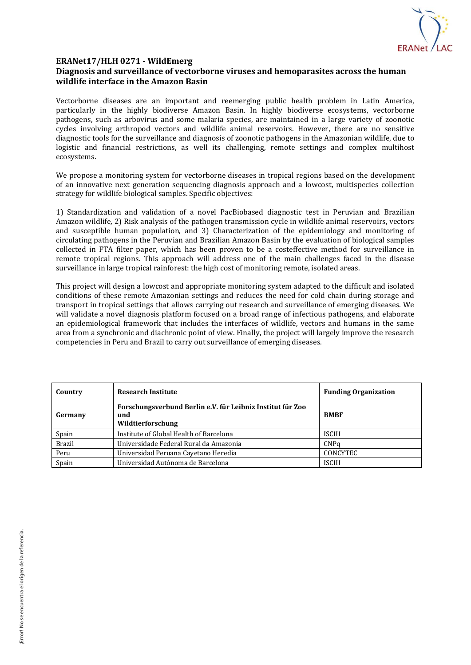

#### **ERANet17/HLH 0271 - WildEmerg**

## **Diagnosis and surveillance of vectorborne viruses and hemoparasites across the human wildlife interface in the Amazon Basin**

Vectorborne diseases are an important and reemerging public health problem in Latin America, particularly in the highly biodiverse Amazon Basin. In highly biodiverse ecosystems, vectorborne pathogens, such as arbovirus and some malaria species, are maintained in a large variety of zoonotic cycles involving arthropod vectors and wildlife animal reservoirs. However, there are no sensitive diagnostic tools for the surveillance and diagnosis of zoonotic pathogens in the Amazonian wildlife, due to logistic and financial restrictions, as well its challenging, remote settings and complex multihost ecosystems.

We propose a monitoring system for vectorborne diseases in tropical regions based on the development of an innovative next generation sequencing diagnosis approach and a lowcost, multispecies collection strategy for wildlife biological samples. Specific objectives:

1) Standardization and validation of a novel PacBiobased diagnostic test in Peruvian and Brazilian Amazon wildlife, 2) Risk analysis of the pathogen transmission cycle in wildlife animal reservoirs, vectors and susceptible human population, and 3) Characterization of the epidemiology and monitoring of circulating pathogens in the Peruvian and Brazilian Amazon Basin by the evaluation of biological samples collected in FTA filter paper, which has been proven to be a costeffective method for surveillance in remote tropical regions. This approach will address one of the main challenges faced in the disease surveillance in large tropical rainforest: the high cost of monitoring remote, isolated areas.

This project will design a lowcost and appropriate monitoring system adapted to the difficult and isolated conditions of these remote Amazonian settings and reduces the need for cold chain during storage and transport in tropical settings that allows carrying out research and surveillance of emerging diseases. We will validate a novel diagnosis platform focused on a broad range of infectious pathogens, and elaborate an epidemiological framework that includes the interfaces of wildlife, vectors and humans in the same area from a synchronic and diachronic point of view. Finally, the project will largely improve the research competencies in Peru and Brazil to carry out surveillance of emerging diseases.

| Country       | <b>Research Institute</b>                                                              | <b>Funding Organization</b> |
|---------------|----------------------------------------------------------------------------------------|-----------------------------|
| Germany       | Forschungsverbund Berlin e.V. für Leibniz Institut für Zoo<br>und<br>Wildtierforschung | <b>BMBF</b>                 |
| Spain         | Institute of Global Health of Barcelona                                                | <b>ISCIII</b>               |
| <b>Brazil</b> | Universidade Federal Rural da Amazonia                                                 | CNPq                        |
| Peru          | Universidad Peruana Cayetano Heredia                                                   | <b>CONCYTEC</b>             |
| Spain         | Universidad Autónoma de Barcelona                                                      | <b>ISCIII</b>               |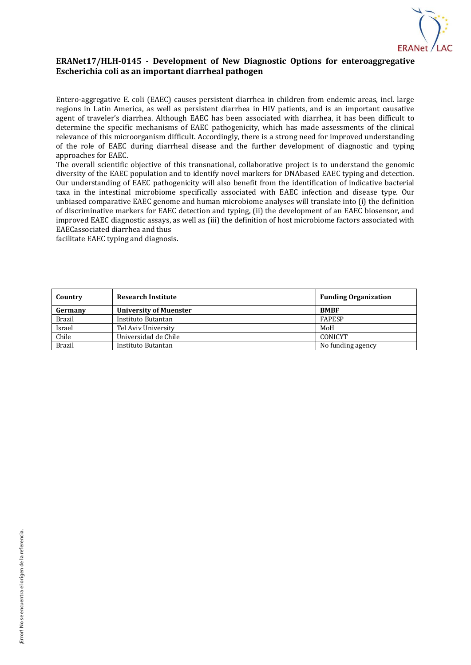

## **ERANet17/HLH-0145 - Development of New Diagnostic Options for enteroaggregative Escherichia coli as an important diarrheal pathogen**

Entero-aggregative E. coli (EAEC) causes persistent diarrhea in children from endemic areas, incl. large regions in Latin America, as well as persistent diarrhea in HIV patients, and is an important causative agent of traveler's diarrhea. Although EAEC has been associated with diarrhea, it has been difficult to determine the specific mechanisms of EAEC pathogenicity, which has made assessments of the clinical relevance of this microorganism difficult. Accordingly, there is a strong need for improved understanding of the role of EAEC during diarrheal disease and the further development of diagnostic and typing approaches for EAEC.

The overall scientific objective of this transnational, collaborative project is to understand the genomic diversity of the EAEC population and to identify novel markers for DNAbased EAEC typing and detection. Our understanding of EAEC pathogenicity will also benefit from the identification of indicative bacterial taxa in the intestinal microbiome specifically associated with EAEC infection and disease type. Our unbiased comparative EAEC genome and human microbiome analyses will translate into (i) the definition of discriminative markers for EAEC detection and typing, (ii) the development of an EAEC biosensor, and improved EAEC diagnostic assays, as well as (iii) the definition of host microbiome factors associated with EAECassociated diarrhea and thus

facilitate EAEC typing and diagnosis.

| Country       | <b>Research Institute</b>     | <b>Funding Organization</b> |
|---------------|-------------------------------|-----------------------------|
| Germany       | <b>University of Muenster</b> | <b>BMBF</b>                 |
| <b>Brazil</b> | Instituto Butantan            | <b>FAPESP</b>               |
| Israel        | Tel Aviv University           | MoH                         |
| Chile         | Universidad de Chile          | CONICYT                     |
| <b>Brazil</b> | Instituto Butantan            | No funding agency           |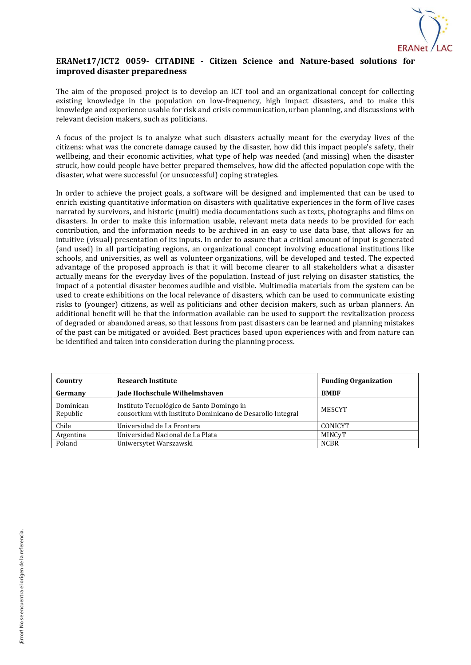

## **ERANet17/ICT2 0059- CITADINE - Citizen Science and Nature-based solutions for improved disaster preparedness**

The aim of the proposed project is to develop an ICT tool and an organizational concept for collecting existing knowledge in the population on low-frequency, high impact disasters, and to make this knowledge and experience usable for risk and crisis communication, urban planning, and discussions with relevant decision makers, such as politicians.

A focus of the project is to analyze what such disasters actually meant for the everyday lives of the citizens: what was the concrete damage caused by the disaster, how did this impact people's safety, their wellbeing, and their economic activities, what type of help was needed (and missing) when the disaster struck, how could people have better prepared themselves, how did the affected population cope with the disaster, what were successful (or unsuccessful) coping strategies.

In order to achieve the project goals, a software will be designed and implemented that can be used to enrich existing quantitative information on disasters with qualitative experiences in the form of live cases narrated by survivors, and historic (multi) media documentations such as texts, photographs and films on disasters. In order to make this information usable, relevant meta data needs to be provided for each contribution, and the information needs to be archived in an easy to use data base, that allows for an intuitive (visual) presentation of its inputs. In order to assure that a critical amount of input is generated (and used) in all participating regions, an organizational concept involving educational institutions like schools, and universities, as well as volunteer organizations, will be developed and tested. The expected advantage of the proposed approach is that it will become clearer to all stakeholders what a disaster actually means for the everyday lives of the population. Instead of just relying on disaster statistics, the impact of a potential disaster becomes audible and visible. Multimedia materials from the system can be used to create exhibitions on the local relevance of disasters, which can be used to communicate existing risks to (younger) citizens, as well as politicians and other decision makers, such as urban planners. An additional benefit will be that the information available can be used to support the revitalization process of degraded or abandoned areas, so that lessons from past disasters can be learned and planning mistakes of the past can be mitigated or avoided. Best practices based upon experiences with and from nature can be identified and taken into consideration during the planning process.

| Country               | <b>Research Institute</b>                                                                               | <b>Funding Organization</b> |
|-----------------------|---------------------------------------------------------------------------------------------------------|-----------------------------|
| Germany               | Jade Hochschule Wilhelmshaven                                                                           | <b>BMBF</b>                 |
| Dominican<br>Republic | Instituto Tecnológico de Santo Domingo in<br>consortium with Instituto Dominicano de Desarollo Integral | MESCYT                      |
| Chile                 | Universidad de La Frontera                                                                              | <b>CONICYT</b>              |
| Argentina             | Universidad Nacional de La Plata                                                                        | MINCyT                      |
| Poland                | Uniwersytet Warszawski                                                                                  | <b>NCBR</b>                 |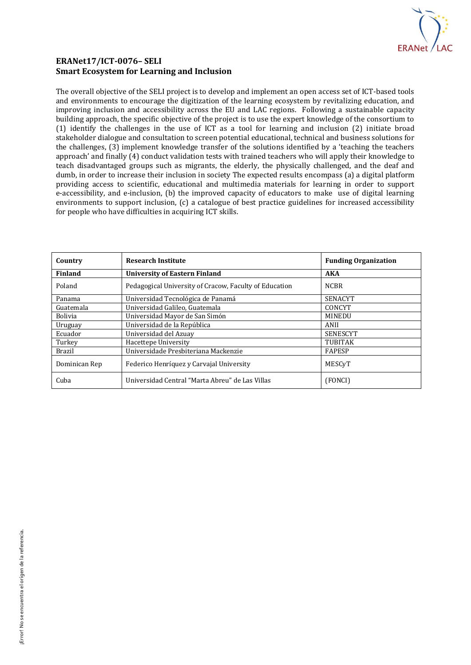

## **ERANet17/ICT-0076– SELI Smart Ecosystem for Learning and Inclusion**

The overall objective of the SELI project is to develop and implement an open access set of ICT-based tools and environments to encourage the digitization of the learning ecosystem by revitalizing education, and improving inclusion and accessibility across the EU and LAC regions. Following a sustainable capacity building approach, the specific objective of the project is to use the expert knowledge of the consortium to (1) identify the challenges in the use of ICT as a tool for learning and inclusion (2) initiate broad stakeholder dialogue and consultation to screen potential educational, technical and business solutions for the challenges, (3) implement knowledge transfer of the solutions identified by a 'teaching the teachers approach' and finally (4) conduct validation tests with trained teachers who will apply their knowledge to teach disadvantaged groups such as migrants, the elderly, the physically challenged, and the deaf and dumb, in order to increase their inclusion in society The expected results encompass (a) a digital platform providing access to scientific, educational and multimedia materials for learning in order to support e-accessibility, and e-inclusion, (b) the improved capacity of educators to make use of digital learning environments to support inclusion, (c) a catalogue of best practice guidelines for increased accessibility for people who have difficulties in acquiring ICT skills.

| Country        | <b>Research Institute</b>                              | <b>Funding Organization</b> |
|----------------|--------------------------------------------------------|-----------------------------|
| Finland        | <b>University of Eastern Finland</b>                   | <b>AKA</b>                  |
| Poland         | Pedagogical University of Cracow, Faculty of Education | <b>NCBR</b>                 |
| Panama         | Universidad Tecnológica de Panamá                      | <b>SENACYT</b>              |
| Guatemala      | Universidad Galileo, Guatemala                         | CONCYT                      |
| <b>Bolivia</b> | Universidad Mayor de San Simón                         | MINEDU                      |
| Uruguay        | Universidad de la República                            | ANII                        |
| Ecuador        | Universidad del Azuay                                  | <b>SENESCYT</b>             |
| Turkey         | Hacettepe University                                   | <b>TUBITAK</b>              |
| <b>Brazil</b>  | Universidade Presbiteriana Mackenzie                   | <b>FAPESP</b>               |
| Dominican Rep  | Federico Henríquez y Carvajal University               | MESCyT                      |
| Cuba           | Universidad Central "Marta Abreu" de Las Villas        | (FONCI)                     |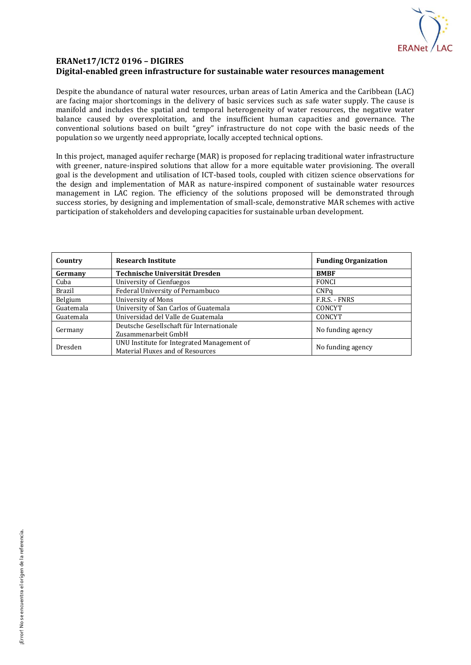

## **ERANet17/ICT2 0196 – DIGIRES Digital-enabled green infrastructure for sustainable water resources management**

Despite the abundance of natural water resources, urban areas of Latin America and the Caribbean (LAC) are facing major shortcomings in the delivery of basic services such as safe water supply. The cause is manifold and includes the spatial and temporal heterogeneity of water resources, the negative water balance caused by overexploitation, and the insufficient human capacities and governance. The conventional solutions based on built "grey" infrastructure do not cope with the basic needs of the population so we urgently need appropriate, locally accepted technical options.

In this project, managed aquifer recharge (MAR) is proposed for replacing traditional water infrastructure with greener, nature-inspired solutions that allow for a more equitable water provisioning. The overall goal is the development and utilisation of ICT-based tools, coupled with citizen science observations for the design and implementation of MAR as nature-inspired component of sustainable water resources management in LAC region. The efficiency of the solutions proposed will be demonstrated through success stories, by designing and implementation of small-scale, demonstrative MAR schemes with active participation of stakeholders and developing capacities for sustainable urban development.

| Country       | <b>Research Institute</b>                  | <b>Funding Organization</b> |
|---------------|--------------------------------------------|-----------------------------|
| Germany       | Technische Universität Dresden             | <b>BMBF</b>                 |
| Cuba          | University of Cienfuegos                   | <b>FONCI</b>                |
| <b>Brazil</b> | Federal University of Pernambuco           | CNPa                        |
| Belgium       | University of Mons                         | F.R.S. - FNRS               |
| Guatemala     | University of San Carlos of Guatemala      | CONCYT                      |
| Guatemala     | Universidad del Valle de Guatemala         | CONCYT                      |
| Germany       | Deutsche Gesellschaft für Internationale   | No funding agency           |
|               | Zusammenarbeit GmbH                        |                             |
| Dresden       | UNU Institute for Integrated Management of | No funding agency           |
|               | Material Fluxes and of Resources           |                             |